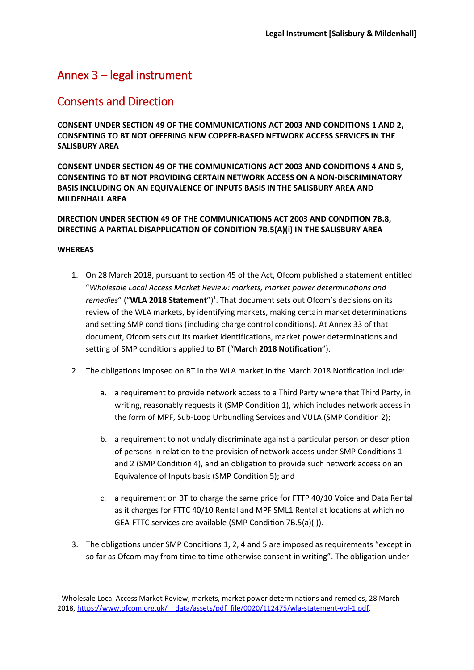# Annex 3 – legal instrument

## Consents and Direction

**CONSENT UNDER SECTION 49 OF THE COMMUNICATIONS ACT 2003 AND CONDITIONS 1 AND 2, CONSENTING TO BT NOT OFFERING NEW COPPER-BASED NETWORK ACCESS SERVICES IN THE SALISBURY AREA**

**CONSENT UNDER SECTION 49 OF THE COMMUNICATIONS ACT 2003 AND CONDITIONS 4 AND 5, CONSENTING TO BT NOT PROVIDING CERTAIN NETWORK ACCESS ON A NON-DISCRIMINATORY BASIS INCLUDING ON AN EQUIVALENCE OF INPUTS BASIS IN THE SALISBURY AREA AND MILDENHALL AREA**

### **DIRECTION UNDER SECTION 49 OF THE COMMUNICATIONS ACT 2003 AND CONDITION 7B.8, DIRECTING A PARTIAL DISAPPLICATION OF CONDITION 7B.5(A)(i) IN THE SALISBURY AREA**

#### **WHEREAS**

1

- 1. On 28 March 2018, pursuant to section 45 of the Act, Ofcom published a statement entitled "*Wholesale Local Access Market Review: markets, market power determinations and*  remedies" ("WLA 2018 Statement")<sup>1</sup>. That document sets out Ofcom's decisions on its review of the WLA markets, by identifying markets, making certain market determinations and setting SMP conditions (including charge control conditions). At Annex 33 of that document, Ofcom sets out its market identifications, market power determinations and setting of SMP conditions applied to BT ("**March 2018 Notification**").
- 2. The obligations imposed on BT in the WLA market in the March 2018 Notification include:
	- a. a requirement to provide network access to a Third Party where that Third Party, in writing, reasonably requests it (SMP Condition 1), which includes network access in the form of MPF, Sub-Loop Unbundling Services and VULA (SMP Condition 2);
	- b. a requirement to not unduly discriminate against a particular person or description of persons in relation to the provision of network access under SMP Conditions 1 and 2 (SMP Condition 4), and an obligation to provide such network access on an Equivalence of Inputs basis (SMP Condition 5); and
	- c. a requirement on BT to charge the same price for FTTP 40/10 Voice and Data Rental as it charges for FTTC 40/10 Rental and MPF SML1 Rental at locations at which no GEA-FTTC services are available (SMP Condition 7B.5(a)(i)).
- 3. The obligations under SMP Conditions 1, 2, 4 and 5 are imposed as requirements "except in so far as Ofcom may from time to time otherwise consent in writing". The obligation under

<sup>&</sup>lt;sup>1</sup> Wholesale Local Access Market Review; markets, market power determinations and remedies, 28 March 2018, https://www.ofcom.org.uk/ data/assets/pdf file/0020/112475/wla-statement-vol-1.pdf.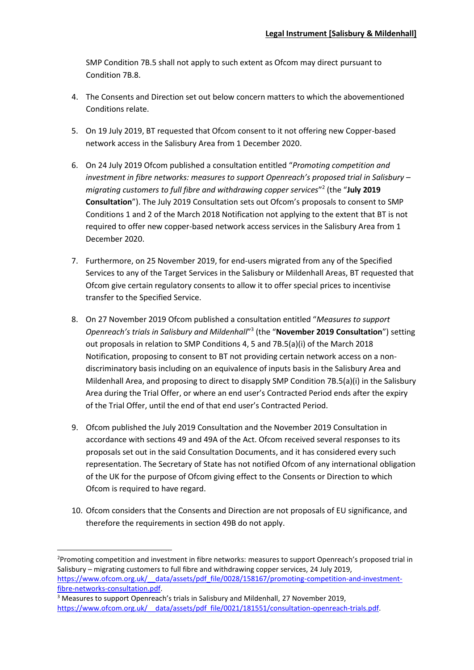SMP Condition 7B.5 shall not apply to such extent as Ofcom may direct pursuant to Condition 7B.8.

- 4. The Consents and Direction set out below concern matters to which the abovementioned Conditions relate.
- 5. On 19 July 2019, BT requested that Ofcom consent to it not offering new Copper-based network access in the Salisbury Area from 1 December 2020.
- 6. On 24 July 2019 Ofcom published a consultation entitled "*Promoting competition and investment in fibre networks: measures to support Openreach's proposed trial in Salisbury – migrating customers to full fibre and withdrawing copper services*" 2 (the "**July 2019 Consultation**"). The July 2019 Consultation sets out Ofcom's proposals to consent to SMP Conditions 1 and 2 of the March 2018 Notification not applying to the extent that BT is not required to offer new copper-based network access services in the Salisbury Area from 1 December 2020.
- 7. Furthermore, on 25 November 2019, for end-users migrated from any of the Specified Services to any of the Target Services in the Salisbury or Mildenhall Areas, BT requested that Ofcom give certain regulatory consents to allow it to offer special prices to incentivise transfer to the Specified Service.
- 8. On 27 November 2019 Ofcom published a consultation entitled "*Measures to support Openreach's trials in Salisbury and Mildenhall*" 3 (the "**November 2019 Consultation**") setting out proposals in relation to SMP Conditions 4, 5 and 7B.5(a)(i) of the March 2018 Notification, proposing to consent to BT not providing certain network access on a nondiscriminatory basis including on an equivalence of inputs basis in the Salisbury Area and Mildenhall Area, and proposing to direct to disapply SMP Condition 7B.5(a)(i) in the Salisbury Area during the Trial Offer, or where an end user's Contracted Period ends after the expiry of the Trial Offer, until the end of that end user's Contracted Period.
- 9. Ofcom published the July 2019 Consultation and the November 2019 Consultation in accordance with sections 49 and 49A of the Act. Ofcom received several responses to its proposals set out in the said Consultation Documents, and it has considered every such representation. The Secretary of State has not notified Ofcom of any international obligation of the UK for the purpose of Ofcom giving effect to the Consents or Direction to which Ofcom is required to have regard.
- 10. Ofcom considers that the Consents and Direction are not proposals of EU significance, and therefore the requirements in section 49B do not apply.

**.** 

<sup>&</sup>lt;sup>2</sup>Promoting competition and investment in fibre networks: measures to support Openreach's proposed trial in Salisbury – migrating customers to full fibre and withdrawing copper services, 24 July 2019, https://www.ofcom.org.uk/ data/assets/pdf file/0028/158167/promoting-competition-and-investment[fibre-networks-consultation.pdf.](https://www.ofcom.org.uk/__data/assets/pdf_file/0028/158167/promoting-competition-and-investment-fibre-networks-consultation.pdf)

<sup>&</sup>lt;sup>3</sup> Measures to support Openreach's trials in Salisbury and Mildenhall, 27 November 2019, https://www.ofcom.org.uk/ data/assets/pdf file/0021/181551/consultation-openreach-trials.pdf.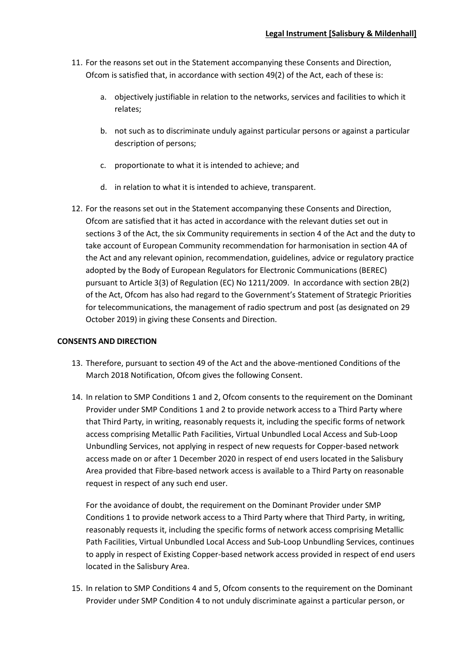- 11. For the reasons set out in the Statement accompanying these Consents and Direction, Ofcom is satisfied that, in accordance with section 49(2) of the Act, each of these is:
	- a. objectively justifiable in relation to the networks, services and facilities to which it relates;
	- b. not such as to discriminate unduly against particular persons or against a particular description of persons;
	- c. proportionate to what it is intended to achieve; and
	- d. in relation to what it is intended to achieve, transparent.
- 12. For the reasons set out in the Statement accompanying these Consents and Direction, Ofcom are satisfied that it has acted in accordance with the relevant duties set out in sections 3 of the Act, the six Community requirements in section 4 of the Act and the duty to take account of European Community recommendation for harmonisation in section 4A of the Act and any relevant opinion, recommendation, guidelines, advice or regulatory practice adopted by the Body of European Regulators for Electronic Communications (BEREC) pursuant to Article 3(3) of Regulation (EC) No 1211/2009. In accordance with section 2B(2) of the Act, Ofcom has also had regard to the Government's Statement of Strategic Priorities for telecommunications, the management of radio spectrum and post (as designated on 29 October 2019) in giving these Consents and Direction.

#### **CONSENTS AND DIRECTION**

- 13. Therefore, pursuant to section 49 of the Act and the above-mentioned Conditions of the March 2018 Notification, Ofcom gives the following Consent.
- 14. In relation to SMP Conditions 1 and 2, Ofcom consents to the requirement on the Dominant Provider under SMP Conditions 1 and 2 to provide network access to a Third Party where that Third Party, in writing, reasonably requests it, including the specific forms of network access comprising Metallic Path Facilities, Virtual Unbundled Local Access and Sub-Loop Unbundling Services, not applying in respect of new requests for Copper-based network access made on or after 1 December 2020 in respect of end users located in the Salisbury Area provided that Fibre-based network access is available to a Third Party on reasonable request in respect of any such end user.

For the avoidance of doubt, the requirement on the Dominant Provider under SMP Conditions 1 to provide network access to a Third Party where that Third Party, in writing, reasonably requests it, including the specific forms of network access comprising Metallic Path Facilities, Virtual Unbundled Local Access and Sub-Loop Unbundling Services, continues to apply in respect of Existing Copper-based network access provided in respect of end users located in the Salisbury Area.

15. In relation to SMP Conditions 4 and 5, Ofcom consents to the requirement on the Dominant Provider under SMP Condition 4 to not unduly discriminate against a particular person, or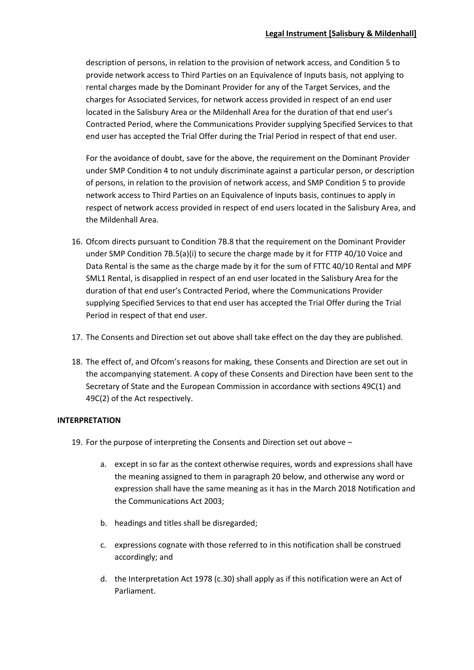description of persons, in relation to the provision of network access, and Condition 5 to provide network access to Third Parties on an Equivalence of Inputs basis, not applying to rental charges made by the Dominant Provider for any of the Target Services, and the charges for Associated Services, for network access provided in respect of an end user located in the Salisbury Area or the Mildenhall Area for the duration of that end user's Contracted Period, where the Communications Provider supplying Specified Services to that end user has accepted the Trial Offer during the Trial Period in respect of that end user.

For the avoidance of doubt, save for the above, the requirement on the Dominant Provider under SMP Condition 4 to not unduly discriminate against a particular person, or description of persons, in relation to the provision of network access, and SMP Condition 5 to provide network access to Third Parties on an Equivalence of Inputs basis, continues to apply in respect of network access provided in respect of end users located in the Salisbury Area, and the Mildenhall Area.

- 16. Ofcom directs pursuant to Condition 7B.8 that the requirement on the Dominant Provider under SMP Condition 7B.5(a)(i) to secure the charge made by it for FTTP 40/10 Voice and Data Rental is the same as the charge made by it for the sum of FTTC 40/10 Rental and MPF SML1 Rental, is disapplied in respect of an end user located in the Salisbury Area for the duration of that end user's Contracted Period, where the Communications Provider supplying Specified Services to that end user has accepted the Trial Offer during the Trial Period in respect of that end user.
- 17. The Consents and Direction set out above shall take effect on the day they are published.
- 18. The effect of, and Ofcom's reasons for making, these Consents and Direction are set out in the accompanying statement. A copy of these Consents and Direction have been sent to the Secretary of State and the European Commission in accordance with sections 49C(1) and 49C(2) of the Act respectively.

## **INTERPRETATION**

- 19. For the purpose of interpreting the Consents and Direction set out above
	- a. except in so far as the context otherwise requires, words and expressions shall have the meaning assigned to them in paragraph 20 below, and otherwise any word or expression shall have the same meaning as it has in the March 2018 Notification and the Communications Act 2003;
	- b. headings and titles shall be disregarded;
	- c. expressions cognate with those referred to in this notification shall be construed accordingly; and
	- d. the Interpretation Act 1978 (c.30) shall apply as if this notification were an Act of Parliament.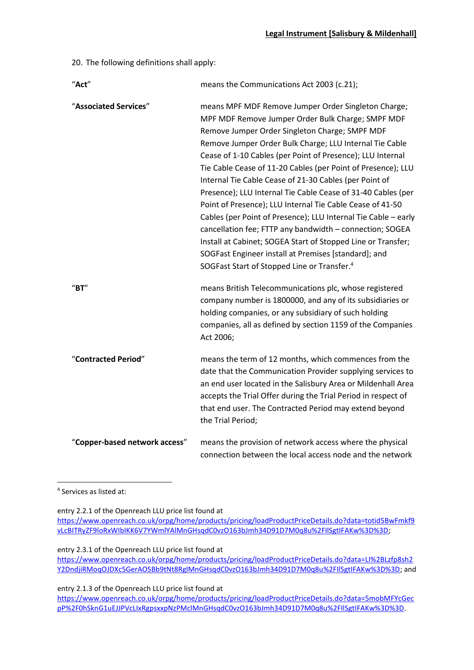20. The following definitions shall apply:

| "Act"                                  | means the Communications Act 2003 (c.21);                                                                                                                                                                                                                                                                                                                                                                                                                                                                                                                                                                                                                                                                                                                                                                                                                   |
|----------------------------------------|-------------------------------------------------------------------------------------------------------------------------------------------------------------------------------------------------------------------------------------------------------------------------------------------------------------------------------------------------------------------------------------------------------------------------------------------------------------------------------------------------------------------------------------------------------------------------------------------------------------------------------------------------------------------------------------------------------------------------------------------------------------------------------------------------------------------------------------------------------------|
| "Associated Services"                  | means MPF MDF Remove Jumper Order Singleton Charge;<br>MPF MDF Remove Jumper Order Bulk Charge; SMPF MDF<br>Remove Jumper Order Singleton Charge; SMPF MDF<br>Remove Jumper Order Bulk Charge; LLU Internal Tie Cable<br>Cease of 1-10 Cables (per Point of Presence); LLU Internal<br>Tie Cable Cease of 11-20 Cables (per Point of Presence); LLU<br>Internal Tie Cable Cease of 21-30 Cables (per Point of<br>Presence); LLU Internal Tie Cable Cease of 31-40 Cables (per<br>Point of Presence); LLU Internal Tie Cable Cease of 41-50<br>Cables (per Point of Presence); LLU Internal Tie Cable - early<br>cancellation fee; FTTP any bandwidth - connection; SOGEA<br>Install at Cabinet; SOGEA Start of Stopped Line or Transfer;<br>SOGFast Engineer install at Premises [standard]; and<br>SOGFast Start of Stopped Line or Transfer. <sup>4</sup> |
| $^{\prime\prime}$ BT $^{\prime\prime}$ | means British Telecommunications plc, whose registered<br>company number is 1800000, and any of its subsidiaries or<br>holding companies, or any subsidiary of such holding<br>companies, all as defined by section 1159 of the Companies<br>Act 2006;                                                                                                                                                                                                                                                                                                                                                                                                                                                                                                                                                                                                      |
| "Contracted Period"                    | means the term of 12 months, which commences from the<br>date that the Communication Provider supplying services to<br>an end user located in the Salisbury Area or Mildenhall Area<br>accepts the Trial Offer during the Trial Period in respect of<br>that end user. The Contracted Period may extend beyond<br>the Trial Period;                                                                                                                                                                                                                                                                                                                                                                                                                                                                                                                         |
| "Copper-based network access"          | means the provision of network access where the physical<br>connection between the local access node and the network                                                                                                                                                                                                                                                                                                                                                                                                                                                                                                                                                                                                                                                                                                                                        |

4 Services as listed at:

1

entry 2.2.1 of the Openreach LLU price list found at

[https://www.openreach.co.uk/orpg/home/products/pricing/loadProductPriceDetails.do?data=totid5BwFmkf9](https://www.openreach.co.uk/orpg/home/products/pricing/loadProductPriceDetails.do?data=totid5BwFmkf9vLcBITRyZF9loRxWIbIKK6V7YWmlYAlMnGHsqdC0vzO163bJmh34D91D7M0q8u%2FIlSgtIFAKw%3D%3D) [vLcBITRyZF9loRxWIbIKK6V7YWmlYAlMnGHsqdC0vzO163bJmh34D91D7M0q8u%2FIlSgtIFAKw%3D%3D;](https://www.openreach.co.uk/orpg/home/products/pricing/loadProductPriceDetails.do?data=totid5BwFmkf9vLcBITRyZF9loRxWIbIKK6V7YWmlYAlMnGHsqdC0vzO163bJmh34D91D7M0q8u%2FIlSgtIFAKw%3D%3D)

entry 2.3.1 of the Openreach LLU price list found at [https://www.openreach.co.uk/orpg/home/products/pricing/loadProductPriceDetails.do?data=LI%2BLzfp8sh2](https://www.openreach.co.uk/orpg/home/products/pricing/loadProductPriceDetails.do?data=LI%2BLzfp8sh2Y2DndjiRMoqOJDXc5GerAOSBb9tNt8RglMnGHsqdC0vzO163bJmh34D91D7M0q8u%2FIlSgtIFAKw%3D%3D) [Y2DndjiRMoqOJDXc5GerAOSBb9tNt8RglMnGHsqdC0vzO163bJmh34D91D7M0q8u%2FIlSgtIFAKw%3D%3D;](https://www.openreach.co.uk/orpg/home/products/pricing/loadProductPriceDetails.do?data=LI%2BLzfp8sh2Y2DndjiRMoqOJDXc5GerAOSBb9tNt8RglMnGHsqdC0vzO163bJmh34D91D7M0q8u%2FIlSgtIFAKw%3D%3D) and

entry 2.1.3 of the Openreach LLU price list found at

[https://www.openreach.co.uk/orpg/home/products/pricing/loadProductPriceDetails.do?data=5mobMFYcGec](https://www.openreach.co.uk/orpg/home/products/pricing/loadProductPriceDetails.do?data=5mobMFYcGecpP%2F0hSknG1uEJJPVcLIxRgpsxxpNzPMclMnGHsqdC0vzO163bJmh34D91D7M0q8u%2FIlSgtIFAKw%3D%3D) [pP%2F0hSknG1uEJJPVcLIxRgpsxxpNzPMclMnGHsqdC0vzO163bJmh34D91D7M0q8u%2FIlSgtIFAKw%3D%3D.](https://www.openreach.co.uk/orpg/home/products/pricing/loadProductPriceDetails.do?data=5mobMFYcGecpP%2F0hSknG1uEJJPVcLIxRgpsxxpNzPMclMnGHsqdC0vzO163bJmh34D91D7M0q8u%2FIlSgtIFAKw%3D%3D)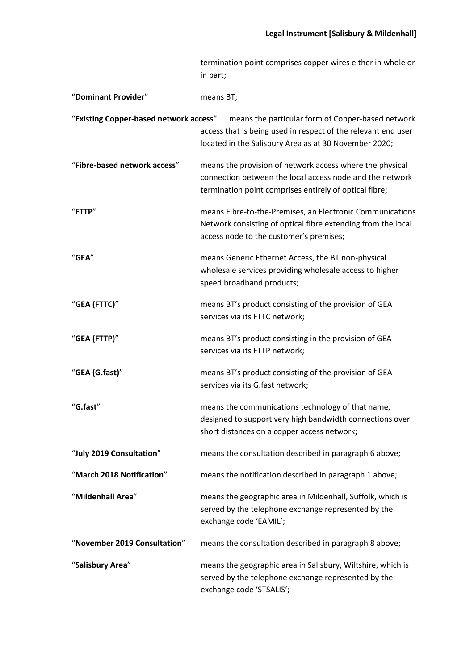|                                        | termination point comprises copper wires either in whole or<br>in part;                                                                                                        |
|----------------------------------------|--------------------------------------------------------------------------------------------------------------------------------------------------------------------------------|
| "Dominant Provider"                    | means BT;                                                                                                                                                                      |
| "Existing Copper-based network access" | means the particular form of Copper-based network<br>access that is being used in respect of the relevant end user<br>located in the Salisbury Area as at 30 November 2020;    |
| "Fibre-based network access"           | means the provision of network access where the physical<br>connection between the local access node and the network<br>termination point comprises entirely of optical fibre; |
| "FTTP"                                 | means Fibre-to-the-Premises, an Electronic Communications<br>Network consisting of optical fibre extending from the local<br>access node to the customer's premises;           |
| "GEA"                                  | means Generic Ethernet Access, the BT non-physical<br>wholesale services providing wholesale access to higher<br>speed broadband products;                                     |
| "GEA (FTTC)"                           | means BT's product consisting of the provision of GEA<br>services via its FTTC network;                                                                                        |
| "GEA (FTTP)"                           | means BT's product consisting in the provision of GEA<br>services via its FTTP network;                                                                                        |
| "GEA (G.fast)"                         | means BT's product consisting of the provision of GEA<br>services via its G.fast network;                                                                                      |
| "G.fast"                               | means the communications technology of that name,<br>designed to support very high bandwidth connections over<br>short distances on a copper access network;                   |
| "July 2019 Consultation"               | means the consultation described in paragraph 6 above;                                                                                                                         |
| "March 2018 Notification"              | means the notification described in paragraph 1 above;                                                                                                                         |
| "Mildenhall Area"                      | means the geographic area in Mildenhall, Suffolk, which is<br>served by the telephone exchange represented by the<br>exchange code 'EAMIL';                                    |
| "November 2019 Consultation"           | means the consultation described in paragraph 8 above;                                                                                                                         |
| "Salisbury Area"                       | means the geographic area in Salisbury, Wiltshire, which is<br>served by the telephone exchange represented by the<br>exchange code 'STSALIS';                                 |